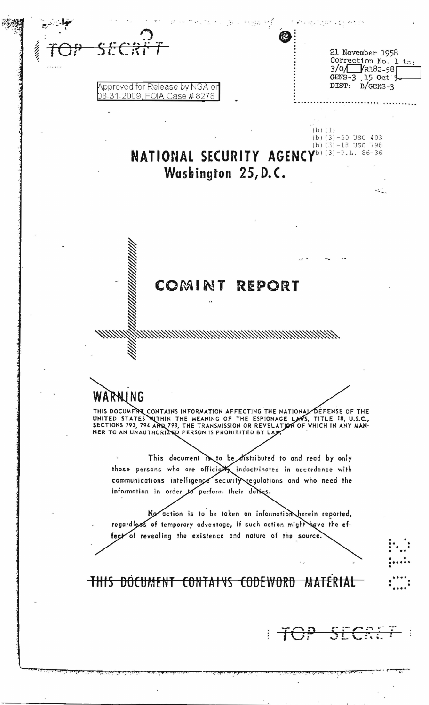